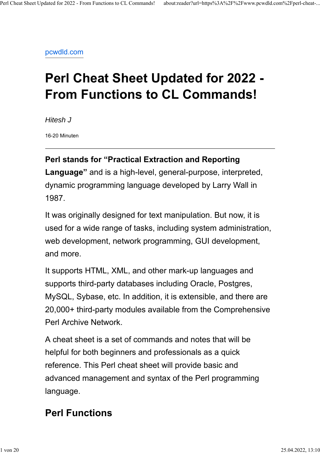pcwdld.com

# **Perl Cheat Sheet Updated for 2022 - From Functions to CL Commands!**

*Hitesh J*

16-20 Minuten

#### **Perl stands for "Practical Extraction and Reporting**

**Language"** and is a high-level, general-purpose, interpreted, dynamic programming language developed by Larry Wall in 1987.

It was originally designed for text manipulation. But now, it is used for a wide range of tasks, including system administration, web development, network programming, GUI development, and more.

It supports HTML, XML, and other mark-up languages and supports third-party databases including Oracle, Postgres, MySQL, Sybase, etc. In addition, it is extensible, and there are 20,000+ third-party modules available from the Comprehensive Perl Archive Network.

A cheat sheet is a set of commands and notes that will be helpful for both beginners and professionals as a quick reference. This Perl cheat sheet will provide basic and advanced management and syntax of the Perl programming language.

# **Perl Functions**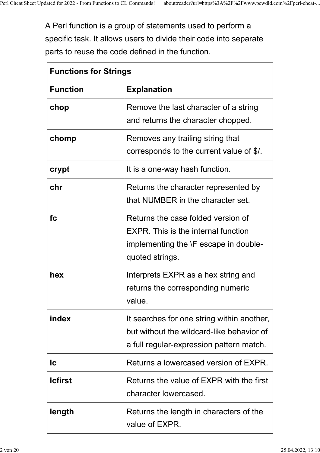$\overline{\Gamma}$ 

 $\overline{\phantom{0}}$ 

A Perl function is a group of statements used to perform a specific task. It allows users to divide their code into separate parts to reuse the code defined in the function.

| <b>Functions for Strings</b> |                                                                                                                                              |  |
|------------------------------|----------------------------------------------------------------------------------------------------------------------------------------------|--|
| <b>Function</b>              | <b>Explanation</b>                                                                                                                           |  |
| chop                         | Remove the last character of a string<br>and returns the character chopped.                                                                  |  |
| chomp                        | Removes any trailing string that<br>corresponds to the current value of \$/.                                                                 |  |
| crypt                        | It is a one-way hash function.                                                                                                               |  |
| chr                          | Returns the character represented by<br>that NUMBER in the character set.                                                                    |  |
| fc                           | Returns the case folded version of<br><b>EXPR.</b> This is the internal function<br>implementing the \F escape in double-<br>quoted strings. |  |
| hex                          | Interprets EXPR as a hex string and<br>returns the corresponding numeric<br>value.                                                           |  |
| index                        | It searches for one string within another,<br>but without the wildcard-like behavior of<br>a full regular-expression pattern match.          |  |
| lc                           | Returns a lowercased version of EXPR.                                                                                                        |  |
| <b>Icfirst</b>               | Returns the value of EXPR with the first<br>character lowercased.                                                                            |  |
| length                       | Returns the length in characters of the<br>value of EXPR.                                                                                    |  |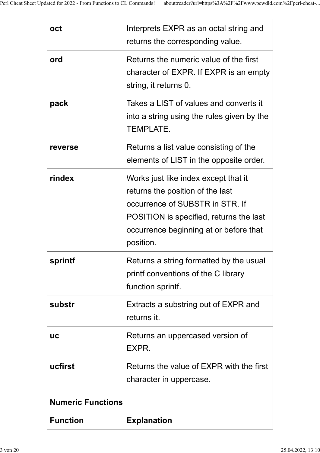| oct                      | Interprets EXPR as an octal string and<br>returns the corresponding value.                                                                                                                                    |  |
|--------------------------|---------------------------------------------------------------------------------------------------------------------------------------------------------------------------------------------------------------|--|
| ord                      | Returns the numeric value of the first<br>character of EXPR. If EXPR is an empty<br>string, it returns 0.                                                                                                     |  |
| pack                     | Takes a LIST of values and converts it<br>into a string using the rules given by the<br><b>TEMPLATE.</b>                                                                                                      |  |
| reverse                  | Returns a list value consisting of the<br>elements of LIST in the opposite order.                                                                                                                             |  |
| rindex                   | Works just like index except that it<br>returns the position of the last<br>occurrence of SUBSTR in STR. If<br>POSITION is specified, returns the last<br>occurrence beginning at or before that<br>position. |  |
| sprintf                  | Returns a string formatted by the usual<br>printf conventions of the C library<br>function sprintf.                                                                                                           |  |
| substr                   | Extracts a substring out of EXPR and<br>returns it.                                                                                                                                                           |  |
| <b>UC</b>                | Returns an uppercased version of<br>EXPR.                                                                                                                                                                     |  |
| ucfirst                  | Returns the value of EXPR with the first<br>character in uppercase.                                                                                                                                           |  |
| <b>Numeric Functions</b> |                                                                                                                                                                                                               |  |
| <b>Function</b>          | <b>Explanation</b>                                                                                                                                                                                            |  |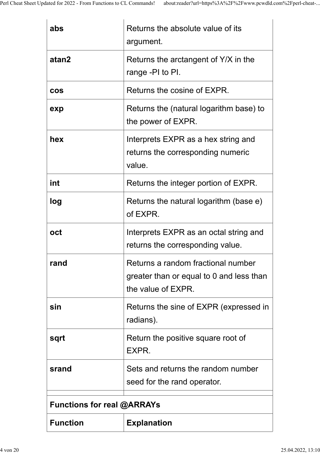| abs                               | Returns the absolute value of its<br>argument.                                                       |  |
|-----------------------------------|------------------------------------------------------------------------------------------------------|--|
| atan2                             | Returns the arctangent of Y/X in the<br>range -PI to PI.                                             |  |
| <b>COS</b>                        | Returns the cosine of EXPR.                                                                          |  |
| exp                               | Returns the (natural logarithm base) to<br>the power of EXPR.                                        |  |
| hex                               | Interprets EXPR as a hex string and<br>returns the corresponding numeric<br>value.                   |  |
| int                               | Returns the integer portion of EXPR.                                                                 |  |
| log                               | Returns the natural logarithm (base e)<br>of EXPR.                                                   |  |
| oct                               | Interprets EXPR as an octal string and<br>returns the corresponding value.                           |  |
| rand                              | Returns a random fractional number<br>greater than or equal to 0 and less than<br>the value of EXPR. |  |
| sin                               | Returns the sine of EXPR (expressed in<br>radians).                                                  |  |
| sqrt                              | Return the positive square root of<br>EXPR.                                                          |  |
| srand                             | Sets and returns the random number<br>seed for the rand operator.                                    |  |
| <b>Functions for real @ARRAYs</b> |                                                                                                      |  |
| <b>Function</b>                   | <b>Explanation</b>                                                                                   |  |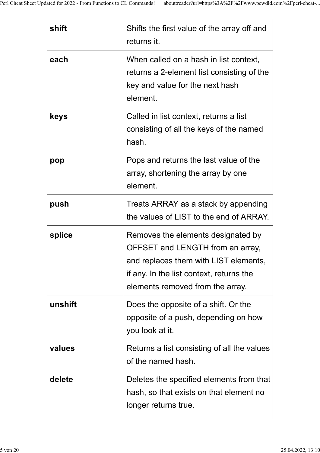| shift   | Shifts the first value of the array off and<br>returns it.                                                                                                                                      |
|---------|-------------------------------------------------------------------------------------------------------------------------------------------------------------------------------------------------|
| each    | When called on a hash in list context,<br>returns a 2-element list consisting of the<br>key and value for the next hash<br>element.                                                             |
| keys    | Called in list context, returns a list<br>consisting of all the keys of the named<br>hash.                                                                                                      |
| pop     | Pops and returns the last value of the<br>array, shortening the array by one<br>element.                                                                                                        |
| push    | Treats ARRAY as a stack by appending<br>the values of LIST to the end of ARRAY.                                                                                                                 |
| splice  | Removes the elements designated by<br>OFFSET and LENGTH from an array,<br>and replaces them with LIST elements,<br>if any. In the list context, returns the<br>elements removed from the array. |
| unshift | Does the opposite of a shift. Or the<br>opposite of a push, depending on how<br>you look at it.                                                                                                 |
| values  | Returns a list consisting of all the values<br>of the named hash.                                                                                                                               |
| delete  | Deletes the specified elements from that<br>hash, so that exists on that element no<br>longer returns true.                                                                                     |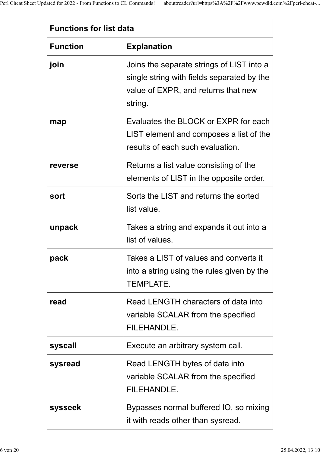#### **Functions for list data**

| <b>Function</b> | <b>Explanation</b>                                                                                                                        |  |  |
|-----------------|-------------------------------------------------------------------------------------------------------------------------------------------|--|--|
| join            | Joins the separate strings of LIST into a<br>single string with fields separated by the<br>value of EXPR, and returns that new<br>string. |  |  |
| map             | Evaluates the BLOCK or EXPR for each<br>LIST element and composes a list of the<br>results of each such evaluation.                       |  |  |
| reverse         | Returns a list value consisting of the<br>elements of LIST in the opposite order.                                                         |  |  |
| sort            | Sorts the LIST and returns the sorted<br>list value.                                                                                      |  |  |
| unpack          | Takes a string and expands it out into a<br>list of values.                                                                               |  |  |
| pack            | Takes a LIST of values and converts it<br>into a string using the rules given by the<br><b>TEMPLATE.</b>                                  |  |  |
| read            | Read LENGTH characters of data into<br>variable SCALAR from the specified<br><b>FILEHANDLE.</b>                                           |  |  |
| syscall         | Execute an arbitrary system call.                                                                                                         |  |  |
| sysread         | Read LENGTH bytes of data into<br>variable SCALAR from the specified<br>FILEHANDLE.                                                       |  |  |
| sysseek         | Bypasses normal buffered IO, so mixing<br>it with reads other than sysread.                                                               |  |  |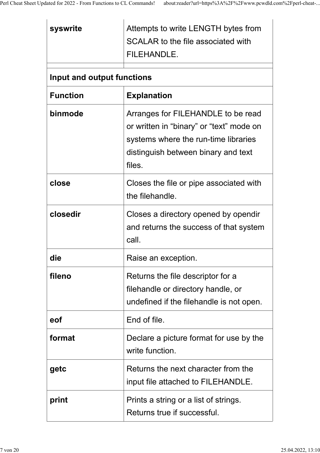| syswrite                   | Attempts to write LENGTH bytes from<br>SCALAR to the file associated with<br>FILEHANDLE.                                                                                |
|----------------------------|-------------------------------------------------------------------------------------------------------------------------------------------------------------------------|
| Input and output functions |                                                                                                                                                                         |
| <b>Function</b>            | <b>Explanation</b>                                                                                                                                                      |
| binmode                    | Arranges for FILEHANDLE to be read<br>or written in "binary" or "text" mode on<br>systems where the run-time libraries<br>distinguish between binary and text<br>files. |
| close                      | Closes the file or pipe associated with<br>the filehandle.                                                                                                              |
| closedir                   | Closes a directory opened by opendir<br>and returns the success of that system<br>call.                                                                                 |
| die                        | Raise an exception.                                                                                                                                                     |
| fileno                     | Returns the file descriptor for a<br>filehandle or directory handle, or<br>undefined if the filehandle is not open.                                                     |
| eof                        | End of file.                                                                                                                                                            |
| format                     | Declare a picture format for use by the<br>write function.                                                                                                              |
| getc                       | Returns the next character from the<br>input file attached to FILEHANDLE.                                                                                               |
| print                      | Prints a string or a list of strings.<br>Returns true if successful.                                                                                                    |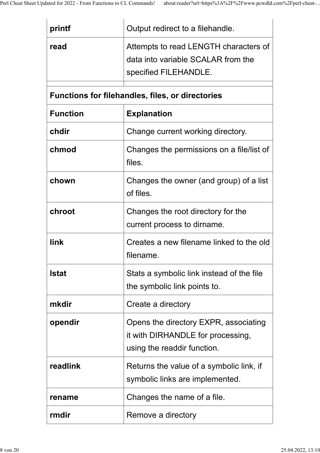| printf          | Output redirect to a filehandle.                                                                          |
|-----------------|-----------------------------------------------------------------------------------------------------------|
| read            | Attempts to read LENGTH characters of<br>data into variable SCALAR from the<br>specified FILEHANDLE.      |
|                 | <b>Functions for filehandles, files, or directories</b>                                                   |
| <b>Function</b> | <b>Explanation</b>                                                                                        |
| chdir           | Change current working directory.                                                                         |
| chmod           | Changes the permissions on a file/list of<br>files.                                                       |
| chown           | Changes the owner (and group) of a list<br>of files.                                                      |
| chroot          | Changes the root directory for the<br>current process to dirname.                                         |
| link            | Creates a new filename linked to the old<br>filename.                                                     |
| <b>Istat</b>    | Stats a symbolic link instead of the file<br>the symbolic link points to.                                 |
| mkdir           | Create a directory                                                                                        |
| opendir         | Opens the directory EXPR, associating<br>it with DIRHANDLE for processing,<br>using the readdir function. |
| readlink        | Returns the value of a symbolic link, if<br>symbolic links are implemented.                               |
| rename          | Changes the name of a file.                                                                               |
| rmdir           | Remove a directory                                                                                        |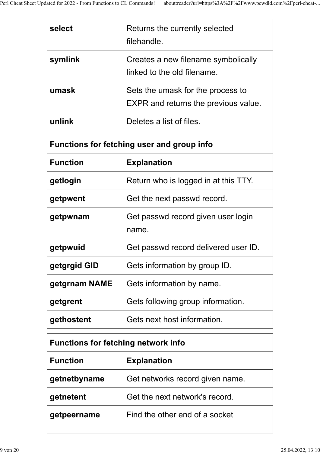| select                                            | Returns the currently selected<br>filehandle.                                    |  |
|---------------------------------------------------|----------------------------------------------------------------------------------|--|
| symlink                                           | Creates a new filename symbolically<br>linked to the old filename.               |  |
| umask                                             | Sets the umask for the process to<br><b>EXPR</b> and returns the previous value. |  |
| unlink                                            | Deletes a list of files.                                                         |  |
| <b>Functions for fetching user and group info</b> |                                                                                  |  |
| <b>Function</b>                                   | <b>Explanation</b>                                                               |  |
| getlogin                                          | Return who is logged in at this TTY.                                             |  |
| getpwent                                          | Get the next passwd record.                                                      |  |
| getpwnam                                          | Get passwd record given user login<br>name.                                      |  |
| getpwuid                                          | Get passwd record delivered user ID.                                             |  |
| getgrgid GID                                      | Gets information by group ID.                                                    |  |
| getgrnam NAME                                     | Gets information by name.                                                        |  |
| getgrent                                          | Gets following group information.                                                |  |
| gethostent                                        | Gets next host information.                                                      |  |
| <b>Functions for fetching network info</b>        |                                                                                  |  |
| <b>Function</b>                                   | <b>Explanation</b>                                                               |  |
| getnetbyname                                      | Get networks record given name.                                                  |  |
| getnetent                                         | Get the next network's record.                                                   |  |
| getpeername                                       | Find the other end of a socket                                                   |  |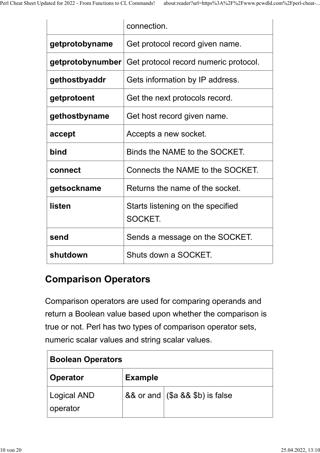|                  | connection.                                  |
|------------------|----------------------------------------------|
| getprotobyname   | Get protocol record given name.              |
| getprotobynumber | Get protocol record numeric protocol.        |
| gethostbyaddr    | Gets information by IP address.              |
| getprotoent      | Get the next protocols record.               |
| gethostbyname    | Get host record given name.                  |
| accept           | Accepts a new socket.                        |
| bind             | Binds the NAME to the SOCKET.                |
| connect          | Connects the NAME to the SOCKET.             |
| getsockname      | Returns the name of the socket.              |
| listen           | Starts listening on the specified<br>SOCKET. |
| send             | Sends a message on the SOCKET.               |
| shutdown         | Shuts down a SOCKET.                         |

### **Comparison Operators**

Comparison operators are used for comparing operands and return a Boolean value based upon whether the comparison is true or not. Perl has two types of comparison operator sets, numeric scalar values and string scalar values.

| <b>Boolean Operators</b>       |                |                                    |
|--------------------------------|----------------|------------------------------------|
| <b>Operator</b>                | <b>Example</b> |                                    |
| <b>Logical AND</b><br>operator |                | && or and $($ \$a && \$b) is false |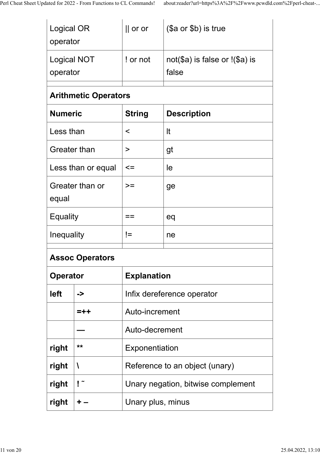| Logical OR<br>operator         |                             | $  $ or or                         | (\$a or \$b) is true                        |
|--------------------------------|-----------------------------|------------------------------------|---------------------------------------------|
| <b>Logical NOT</b><br>operator |                             | ! or not                           | $not(\$a)$ is false or $!(\$a)$ is<br>false |
|                                | <b>Arithmetic Operators</b> |                                    |                                             |
| <b>Numeric</b>                 |                             | <b>String</b>                      | <b>Description</b>                          |
| Less than                      |                             | $\,<\,$                            | It                                          |
| <b>Greater than</b>            |                             | $\, > \,$                          | gt                                          |
|                                | Less than or equal          | $\leq$                             | le                                          |
| equal                          | Greater than or             | $>=$                               | ge                                          |
| <b>Equality</b>                |                             | eq<br>==                           |                                             |
| Inequality                     |                             | $!=$                               | ne                                          |
| <b>Assoc Operators</b>         |                             |                                    |                                             |
| <b>Operator</b>                |                             | <b>Explanation</b>                 |                                             |
| left                           | ->                          | Infix dereference operator         |                                             |
|                                | =++                         | Auto-increment                     |                                             |
|                                |                             | Auto-decrement                     |                                             |
| right                          | **                          | Exponentiation                     |                                             |
| right                          | V                           | Reference to an object (unary)     |                                             |
| right                          | $\mathsf{I}^{\sim}$         | Unary negation, bitwise complement |                                             |
| right                          | ٠                           | Unary plus, minus                  |                                             |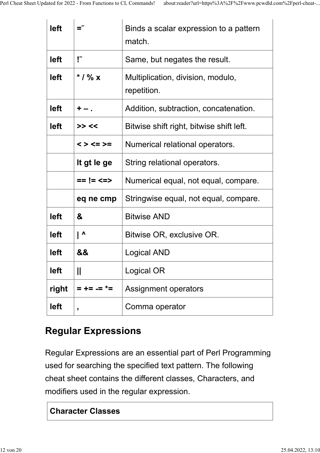| left  |                     | Binds a scalar expression to a pattern<br>match. |
|-------|---------------------|--------------------------------------------------|
| left  | "!                  | Same, but negates the result.                    |
| left  | * $/$ % x           | Multiplication, division, modulo,<br>repetition. |
| left  | $+ -$ .             | Addition, subtraction, concatenation.            |
| left  | >> <<               | Bitwise shift right, bitwise shift left.         |
|       | $\lt$ > $\lt$ = > = | Numerical relational operators.                  |
|       | It gt le ge         | String relational operators.                     |
|       | $== != < =>$        | Numerical equal, not equal, compare.             |
|       | eq ne cmp           | Stringwise equal, not equal, compare.            |
| left  | &                   | <b>Bitwise AND</b>                               |
| left  | $\mathsf{L}$        | Bitwise OR, exclusive OR.                        |
| left  | &&                  | Logical AND                                      |
| left  | II                  | Logical OR                                       |
| right | = += .= *=          | <b>Assignment operators</b>                      |
| left  | ,                   | Comma operator                                   |

### **Regular Expressions**

Regular Expressions are an essential part of Perl Programming used for searching the specified text pattern. The following cheat sheet contains the different classes, Characters, and modifiers used in the regular expression.

#### **Character Classes**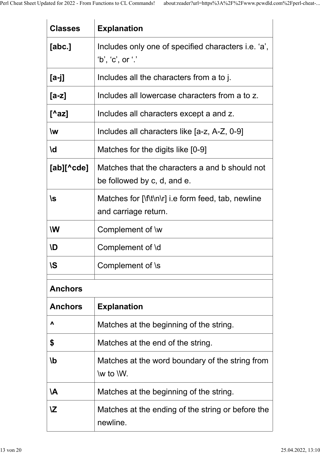| <b>Classes</b>           | <b>Explanation</b>                                                                                                        |
|--------------------------|---------------------------------------------------------------------------------------------------------------------------|
| [abc.]                   | Includes only one of specified characters i.e. 'a',<br>'b', 'c', or '.'                                                   |
| [a-j]                    | Includes all the characters from a to j.                                                                                  |
| $[a-z]$                  | Includes all lowercase characters from a to z.                                                                            |
| $[^A$ az]                | Includes all characters except a and z.                                                                                   |
| $\mathsf{w}$             | Includes all characters like [a-z, A-Z, 0-9]                                                                              |
| \d                       | Matches for the digits like [0-9]                                                                                         |
| $[ab]$ [ $\text{`cde}$ ] | Matches that the characters a and b should not<br>be followed by c, d, and e.                                             |
| \s                       | Matches for $[\lfloor \frac{1}{\lfloor \frac{n}{r} \rfloor} \rfloor]$ i.e form feed, tab, newline<br>and carriage return. |
| W                        | Complement of \w                                                                                                          |
| <b>\D</b>                | Complement of \d                                                                                                          |
| <b>\S</b>                | Complement of \s                                                                                                          |
| <b>Anchors</b>           |                                                                                                                           |
| <b>Anchors</b>           | <b>Explanation</b>                                                                                                        |
| Λ                        | Matches at the beginning of the string.                                                                                   |
| \$                       | Matches at the end of the string.                                                                                         |
| \b                       | Matches at the word boundary of the string from<br>\w to \W.                                                              |
| <b>A</b>                 | Matches at the beginning of the string.                                                                                   |
| <b>IZ</b>                | Matches at the ending of the string or before the<br>newline.                                                             |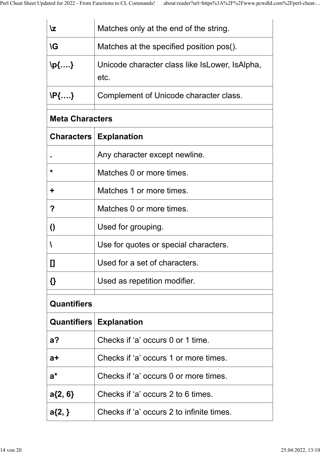| ۱z                     | Matches only at the end of the string.                 |
|------------------------|--------------------------------------------------------|
| <b>\G</b>              | Matches at the specified position pos().               |
| \p{….}                 | Unicode character class like IsLower, IsAlpha,<br>etc. |
| <b>\P{….}</b>          | Complement of Unicode character class.                 |
| <b>Meta Characters</b> |                                                        |
|                        | <b>Characters   Explanation</b>                        |
|                        | Any character except newline.                          |
| *                      | Matches 0 or more times.                               |
| ╈                      | Matches 1 or more times.                               |
| ?                      | Matches 0 or more times.                               |
| $\bf{0}$               | Used for grouping.                                     |
|                        | Use for quotes or special characters.                  |
| []                     | Used for a set of characters.                          |
| {}                     | Used as repetition modifier.                           |
| <b>Quantifiers</b>     |                                                        |
|                        | <b>Quantifiers   Explanation</b>                       |
| $a$ ?                  | Checks if 'a' occurs 0 or 1 time.                      |
| a+                     | Checks if 'a' occurs 1 or more times.                  |
| $a^*$                  | Checks if 'a' occurs 0 or more times.                  |
| $a\{2, 6\}$            | Checks if 'a' occurs 2 to 6 times.                     |
| $a\{2, \}$             | Checks if 'a' occurs 2 to infinite times.              |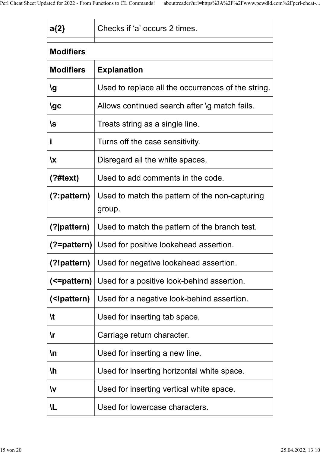| $a\{2\}$                                                           | Checks if 'a' occurs 2 times.                            |
|--------------------------------------------------------------------|----------------------------------------------------------|
| <b>Modifiers</b>                                                   |                                                          |
| <b>Modifiers</b>                                                   | <b>Explanation</b>                                       |
| <b>Ig</b>                                                          | Used to replace all the occurrences of the string.       |
| <b>\gc</b>                                                         | Allows continued search after \g match fails.            |
| \s                                                                 | Treats string as a single line.                          |
| j                                                                  | Turns off the case sensitivity.                          |
| $\mathbf{x}$                                                       | Disregard all the white spaces.                          |
| (?#text)                                                           | Used to add comments in the code.                        |
| $(?)$ : pattern)                                                   | Used to match the pattern of the non-capturing<br>group. |
| $(?)$ pattern $)$                                                  | Used to match the pattern of the branch test.            |
|                                                                    | (?=pattern) Used for positive lookahead assertion.       |
| (?!pattern)                                                        | Used for negative lookahead assertion.                   |
|                                                                    | (<=pattern)   Used for a positive look-behind assertion. |
| ( pattern)</th <th>Used for a negative look-behind assertion.</th> | Used for a negative look-behind assertion.               |
| $\mathcal{H}$                                                      | Used for inserting tab space.                            |
| $\mathsf{r}$                                                       | Carriage return character.                               |
| $\ln$                                                              | Used for inserting a new line.                           |
| $\mathsf{h}$                                                       | Used for inserting horizontal white space.               |
| $\mathsf{W}$                                                       | Used for inserting vertical white space.                 |
| <b>IL</b>                                                          | Used for lowercase characters.                           |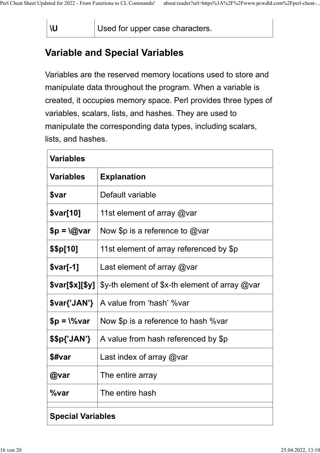**\U** Used for upper case characters.

### **Variable and Special Variables**

Variables are the reserved memory locations used to store and manipulate data throughout the program. When a variable is created, it occupies memory space. Perl provides three types of variables, scalars, lists, and hashes. They are used to manipulate the corresponding data types, including scalars, lists, and hashes.

| <b>Variables</b>         |                                                            |
|--------------------------|------------------------------------------------------------|
| <b>Variables</b>         | <b>Explanation</b>                                         |
| <b>Svar</b>              | Default variable                                           |
| \$var[10]                | 11st element of array @var                                 |
| $$p = \textrm{@var}$     | Now \$p is a reference to $@$ var                          |
| \$\$p[10]                | 11st element of array referenced by \$p                    |
| $$var[-1]$               | Last element of array $@$ var                              |
| \$var[\$x][\$y]          | $\gamma$ -th element of $\gamma$ -th element of array @var |
| \$var{'JAN'}             | A value from 'hash' %var                                   |
| $$p = \sqrt{6}var$       | Now \$p is a reference to hash %var                        |
| \$\$p{'JAN'}             | A value from hash referenced by \$p                        |
| \$#var                   | Last index of array $@$ var                                |
| @var                     | The entire array                                           |
| %var                     | The entire hash                                            |
| <b>Special Variables</b> |                                                            |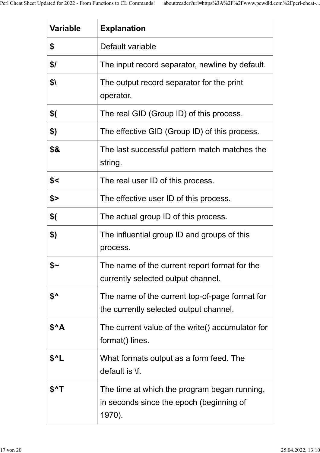| <b>Variable</b>  | <b>Explanation</b>                                                                                 |
|------------------|----------------------------------------------------------------------------------------------------|
| \$               | Default variable                                                                                   |
| \$/              | The input record separator, newline by default.                                                    |
| \$\              | The output record separator for the print<br>operator.                                             |
| \$(              | The real GID (Group ID) of this process.                                                           |
| \$)              | The effective GID (Group ID) of this process.                                                      |
| \$&              | The last successful pattern match matches the<br>string.                                           |
| \$<              | The real user ID of this process.                                                                  |
| \$>              | The effective user ID of this process.                                                             |
| \$(              | The actual group ID of this process.                                                               |
| \$)              | The influential group ID and groups of this<br>process.                                            |
| \$∼              | The name of the current report format for the<br>currently selected output channel.                |
| $$^{\mathsf{A}}$ | The name of the current top-of-page format for<br>the currently selected output channel.           |
| \$^A             | The current value of the write() accumulator for<br>format() lines.                                |
| $$^{\wedge}$ L   | What formats output as a form feed. The<br>default is \f.                                          |
| $$^{\wedge}$ T   | The time at which the program began running,<br>in seconds since the epoch (beginning of<br>1970). |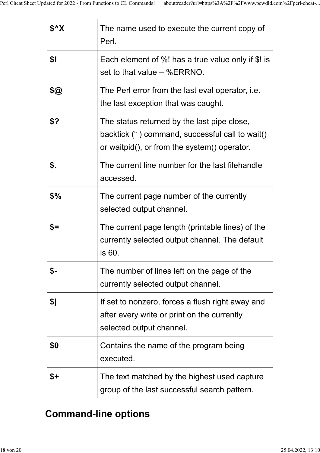| \$^X | The name used to execute the current copy of<br>Perl.                                                                                          |
|------|------------------------------------------------------------------------------------------------------------------------------------------------|
| \$!  | Each element of %! has a true value only if \$! is<br>set to that value $-$ %ERRNO.                                                            |
| \$@  | The Perl error from the last eval operator, i.e.<br>the last exception that was caught.                                                        |
| \$?  | The status returned by the last pipe close,<br>backtick (") command, successful call to wait()<br>or waitpid(), or from the system() operator. |
| \$.  | The current line number for the last filehandle<br>accessed.                                                                                   |
| \$%  | The current page number of the currently<br>selected output channel.                                                                           |
| $$=$ | The current page length (printable lines) of the<br>currently selected output channel. The default<br>is 60.                                   |
| \$-  | The number of lines left on the page of the<br>currently selected output channel.                                                              |
| \$   | If set to nonzero, forces a flush right away and<br>after every write or print on the currently<br>selected output channel.                    |
| \$0  | Contains the name of the program being<br>executed.                                                                                            |
| \$+  | The text matched by the highest used capture<br>group of the last successful search pattern.                                                   |

# **Command-line options**